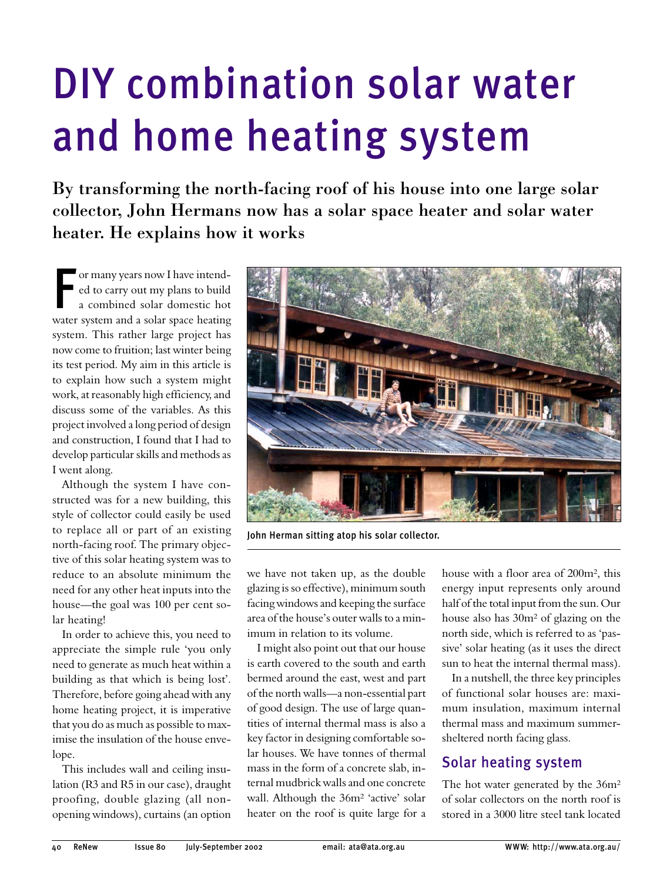# **DIY combination solar water** and home heating system

By transforming the north-facing roof of his house into one large solar collector, John Hermans now has a solar space heater and solar water heater. He explains how it works

or many years now I have intended to carry out my plans to build a combined solar domestic hot water system and a solar space heating system. This rather large project has now come to fruition; last winter being its test period. My aim in this article is to explain how such a system might work, at reasonably high efficiency, and discuss some of the variables. As this project involved a long period of design and construction, I found that I had to develop particular skills and methods as I went along.

Although the system I have constructed was for a new building, this style of collector could easily be used to replace all or part of an existing north-facing roof. The primary objective of this solar heating system was to reduce to an absolute minimum the need for any other heat inputs into the house—the goal was 100 per cent solar heating!

In order to achieve this, you need to appreciate the simple rule 'you only need to generate as much heat within a building as that which is being lost'. Therefore, before going ahead with any home heating project, it is imperative that you do as much as possible to maximise the insulation of the house envelope.

This includes wall and ceiling insulation (R3 and R5 in our case), draught proofing, double glazing (all nonopening windows), curtains (an option



John Herman sitting atop his solar collector.

we have not taken up, as the double glazing is so effective), minimum south facing windows and keeping the surface area of the house's outer walls to a minimum in relation to its volume.

I might also point out that our house is earth covered to the south and earth bermed around the east, west and part of the north walls—a non-essential part of good design. The use of large quantities of internal thermal mass is also a key factor in designing comfortable solar houses. We have tonnes of thermal mass in the form of a concrete slab, internal mudbrick walls and one concrete wall. Although the 36m<sup>2</sup> 'active' solar heater on the roof is quite large for a

house with a floor area of 200m<sup>2</sup>, this energy input represents only around half of the total input from the sun. Our house also has 30m<sup>2</sup> of glazing on the north side, which is referred to as 'passive' solar heating (as it uses the direct sun to heat the internal thermal mass).

In a nutshell, the three key principles of functional solar houses are: maximum insulation, maximum internal thermal mass and maximum summersheltered north facing glass.

## **Solar heating system**

The hot water generated by the 36m<sup>2</sup> of solar collectors on the north roof is stored in a 3000 litre steel tank located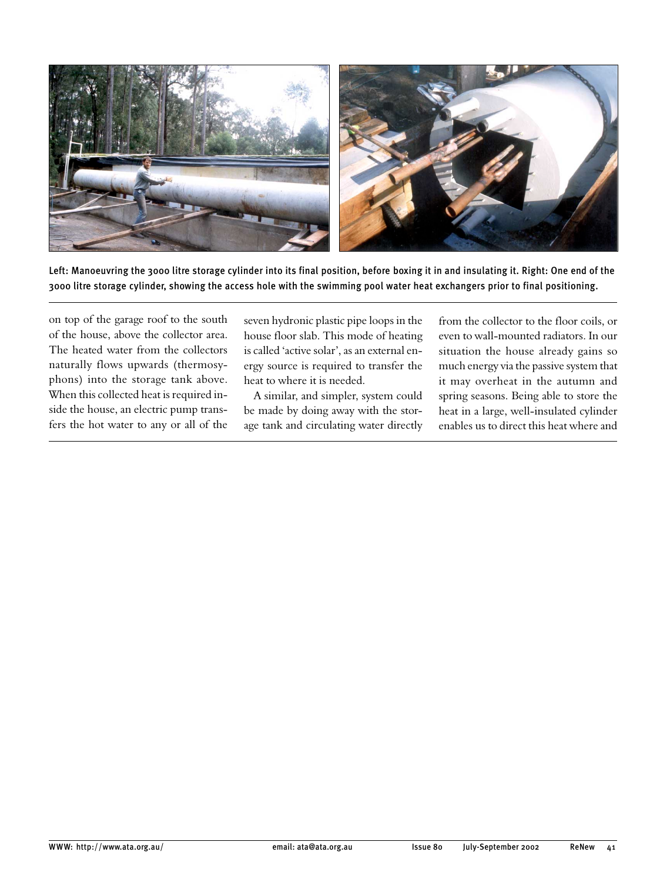

Left: Manoeuvring the 3000 litre storage cylinder into its final position, before boxing it in and insulating it. Right: One end of the 3000 litre storage cylinder, showing the access hole with the swimming pool water heat exchangers prior to final positioning.

on top of the garage roof to the south of the house, above the collector area. The heated water from the collectors naturally flows upwards (thermosyphons) into the storage tank above. When this collected heat is required inside the house, an electric pump transfers the hot water to any or all of the

seven hydronic plastic pipe loops in the house floor slab. This mode of heating is called 'active solar', as an external energy source is required to transfer the heat to where it is needed.

A similar, and simpler, system could be made by doing away with the storage tank and circulating water directly

from the collector to the floor coils, or even to wall-mounted radiators. In our situation the house already gains so much energy via the passive system that it may overheat in the autumn and spring seasons. Being able to store the heat in a large, well-insulated cylinder enables us to direct this heat where and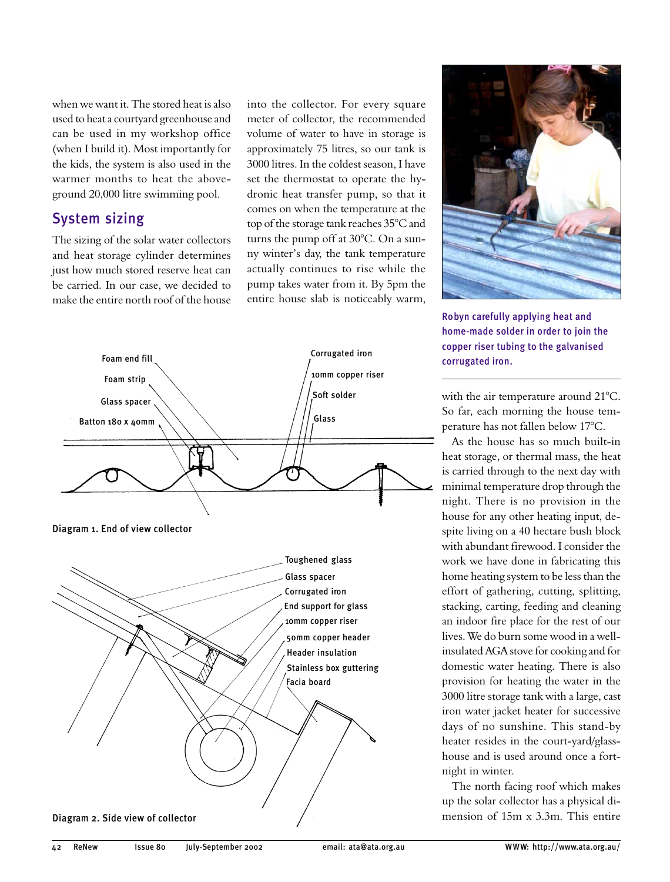when we want it. The stored heat is also used to heat a courtyard greenhouse and can be used in my workshop office (when I build it). Most importantly for the kids, the system is also used in the warmer months to heat the aboveground 20,000 litre swimming pool.

## **System sizing**

The sizing of the solar water collectors and heat storage cylinder determines just how much stored reserve heat can be carried. In our case, we decided to make the entire north roof of the house

into the collector. For every square meter of collector, the recommended volume of water to have in storage is approximately 75 litres, so our tank is 3000 litres. In the coldest season, I have set the thermostat to operate the hydronic heat transfer pump, so that it comes on when the temperature at the top of the storage tank reaches 35°C and turns the pump off at 30°C. On a sunny winter's day, the tank temperature actually continues to rise while the pump takes water from it. By 5pm the entire house slab is noticeably warm,





Robyn carefully applying heat and home-made solder in order to join the copper riser tubing to the galvanised corrugated iron.

with the air temperature around 21°C. So far, each morning the house temperature has not fallen below 17°C.

As the house has so much built-in heat storage, or thermal mass, the heat is carried through to the next day with minimal temperature drop through the night. There is no provision in the house for any other heating input, despite living on a 40 hectare bush block with abundant firewood. I consider the work we have done in fabricating this home heating system to be less than the effort of gathering, cutting, splitting, stacking, carting, feeding and cleaning an indoor fire place for the rest of our lives. We do burn some wood in a wellinsulated AGA stove for cooking and for domestic water heating. There is also provision for heating the water in the 3000 litre storage tank with a large, cast iron water jacket heater for successive days of no sunshine. This stand-by heater resides in the court-yard/glasshouse and is used around once a fortnight in winter.

The north facing roof which makes up the solar collector has a physical dimension of  $15m \times 3.3m$ . This entire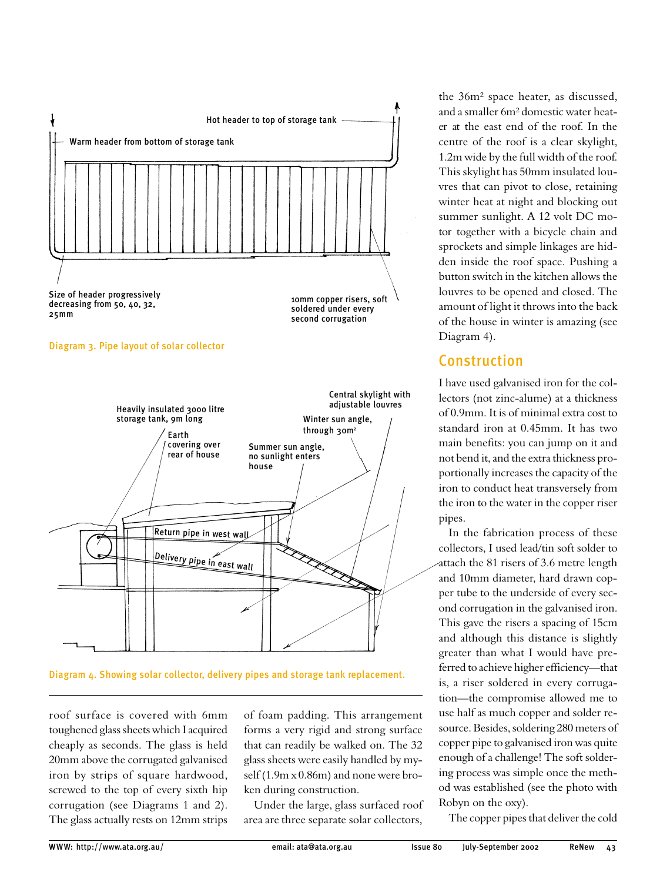

#### Diagram 3. Pipe layout of solar collector



Diagram 4. Showing solar collector, delivery pipes and storage tank replacement.

roof surface is covered with 6mm toughened glass sheets which I acquired cheaply as seconds. The glass is held 20mm above the corrugated galvanised iron by strips of square hardwood, screwed to the top of every sixth hip corrugation (see Diagrams 1 and 2). The glass actually rests on 12mm strips

of foam padding. This arrangement forms a very rigid and strong surface that can readily be walked on. The 32 glass sheets were easily handled by myself (1.9m x 0.86m) and none were broken during construction.

Under the large, glass surfaced roof area are three separate solar collectors,

the 36m<sup>2</sup> space heater, as discussed, and a smaller 6m<sup>2</sup> domestic water heater at the east end of the roof. In the centre of the roof is a clear skylight, 1.2m wide by the full width of the roof. This skylight has 50mm insulated louvres that can pivot to close, retaining winter heat at night and blocking out summer sunlight. A 12 volt DC motor together with a bicycle chain and sprockets and simple linkages are hidden inside the roof space. Pushing a button switch in the kitchen allows the louvres to be opened and closed. The amount of light it throws into the back of the house in winter is amazing (see Diagram 4).

## **Construction**

I have used galvanised iron for the collectors (not zinc-alume) at a thickness of 0.9mm. It is of minimal extra cost to standard iron at 0.45mm. It has two main benefits: you can jump on it and not bend it, and the extra thickness proportionally increases the capacity of the iron to conduct heat transversely from the iron to the water in the copper riser pipes.

In the fabrication process of these collectors, I used lead/tin soft solder to attach the 81 risers of 3.6 metre length and 10mm diameter, hard drawn copper tube to the underside of every second corrugation in the galvanised iron. This gave the risers a spacing of 15cm and although this distance is slightly greater than what I would have preferred to achieve higher efficiency-that is, a riser soldered in every corrugation-the compromise allowed me to use half as much copper and solder resource. Besides, soldering 280 meters of copper pipe to galvanised iron was quite enough of a challenge! The soft soldering process was simple once the method was established (see the photo with Robyn on the oxy).

The copper pipes that deliver the cold